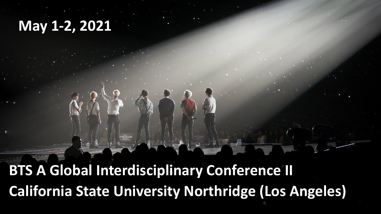## **May 1-2, 2021**

**BTS A Global Interdisciplinary Conference II California State University Northridge (Los Angeles)**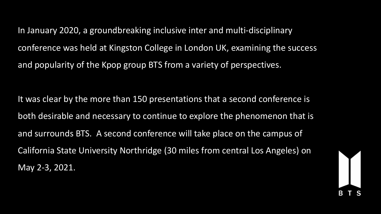In January 2020, a groundbreaking inclusive inter and multi-disciplinary conference was held at Kingston College in London UK, examining the success and popularity of the Kpop group BTS from a variety of perspectives.

It was clear by the more than 150 presentations that a second conference is both desirable and necessary to continue to explore the phenomenon that is and surrounds BTS. A second conference will take place on the campus of California State University Northridge (30 miles from central Los Angeles) on May 2-3, 2021.

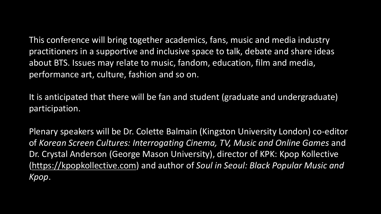This conference will bring together academics, fans, music and media industry practitioners in a supportive and inclusive space to talk, debate and share ideas about BTS. Issues may relate to music, fandom, education, film and media, performance art, culture, fashion and so on.

It is anticipated that there will be fan and student (graduate and undergraduate) participation.

Plenary speakers will be Dr. Colette Balmain (Kingston University London) co-editor of *Korean Screen Cultures: Interrogating Cinema, TV, Music and Online Games* and Dr. Crystal Anderson (George Mason University), director of KPK: Kpop Kollective [\(https://kpopkollective.com](https://kpopkollective.com/)) and author of *Soul in Seoul: Black Popular Music and Kpop*.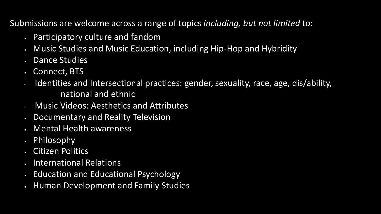Submissions are welcome across a range of topics *including, but not limited* to:

- § Participatory culture and fandom
- § Music Studies and Music Education, including Hip-Hop and Hybridity
- § Dance Studies
- § Connect, BTS
- Identities and Intersectional practices: gender, sexuality, race, age, dis/ability, national and ethnic
- Music Videos: Aesthetics and Attributes
- § Documentary and Reality Television
- § Mental Health awareness
- § Philosophy
- § Citizen Politics
- § International Relations
- § Education and Educational Psychology
- § Human Development and Family Studies